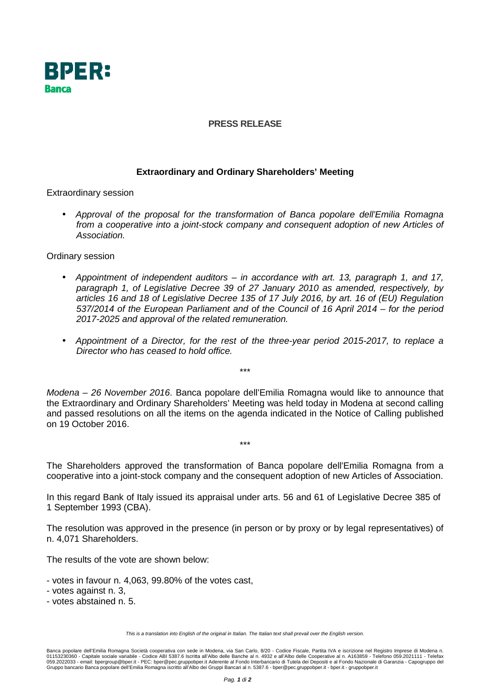

## **PRESS RELEASE**

## **Extraordinary and Ordinary Shareholders' Meeting**

Extraordinary session

• Approval of the proposal for the transformation of Banca popolare dell'Emilia Romagna from a cooperative into a joint-stock company and consequent adoption of new Articles of Association.

Ordinary session

- Appointment of independent auditors in accordance with art. 13, paragraph 1, and 17, paragraph 1, of Legislative Decree 39 of 27 January 2010 as amended, respectively, by articles 16 and 18 of Legislative Decree 135 of 17 July 2016, by art. 16 of (EU) Regulation 537/2014 of the European Parliament and of the Council of 16 April 2014 – for the period 2017-2025 and approval of the related remuneration.
- Appointment of a Director, for the rest of the three-year period 2015-2017, to replace a Director who has ceased to hold office.

Modena – 26 November 2016. Banca popolare dell'Emilia Romagna would like to announce that the Extraordinary and Ordinary Shareholders' Meeting was held today in Modena at second calling and passed resolutions on all the items on the agenda indicated in the Notice of Calling published on 19 October 2016.

\*\*\*

The Shareholders approved the transformation of Banca popolare dell'Emilia Romagna from a cooperative into a joint-stock company and the consequent adoption of new Articles of Association.

\*\*\*

In this regard Bank of Italy issued its appraisal under arts. 56 and 61 of Legislative Decree 385 of 1 September 1993 (CBA).

The resolution was approved in the presence (in person or by proxy or by legal representatives) of n. 4,071 Shareholders.

The results of the vote are shown below:

- votes in favour n. 4,063, 99.80% of the votes cast,
- votes against n. 3,
- votes abstained n. 5.

This is a translation into English of the original in Italian. The Italian text shall prevail over the English version.

Banca popolare dell'Emilia Romagna Società cooperativa con sede in Modena, via San Carlo, 8/20 - Codice Fiscale, Partita IVA e iscrizione nel Registro Imprese di Modena n. 01153230360 - Capitale sociale variabile - Codice ABI 5387.6 Iscritta all'Albo delle Banche al n. 4932 e all'Albo delle Cooperative al n. A163859 - Telefono 059.2021111 - Telefax<br>059.2022033 - email: bpergroup@bper.it - PE Gruppo bancario Banca popolare dell'Emilia Romagna iscritto all'Albo dei Gruppi Bancari al n. 5387.6 - bper@pec.gruppobper.it - bper.it - gruppobper.it